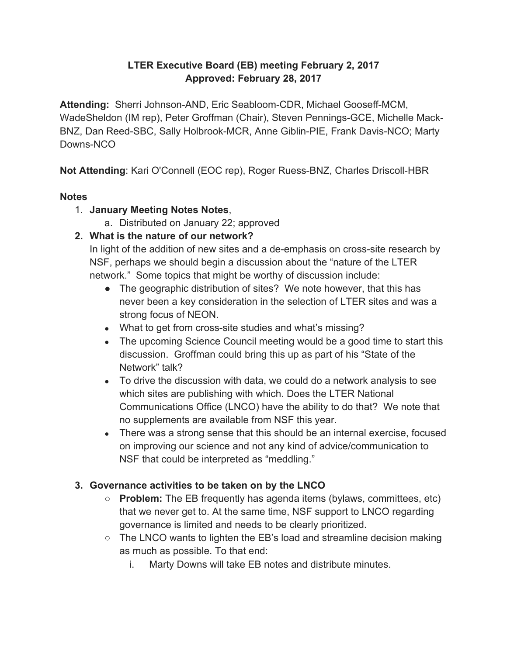### **LTER Executive Board (EB) meeting February 2, 2017 Approved: February 28, 2017**

**Attending:** Sherri Johnson-AND, Eric Seabloom-CDR, Michael Gooseff-MCM, WadeSheldon (IM rep), Peter Groffman (Chair), Steven Pennings-GCE, Michelle Mack-BNZ, Dan Reed-SBC, Sally Holbrook-MCR, Anne Giblin-PIE, Frank Davis-NCO; Marty Downs-NCO

**Not Attending**: Kari O'Connell (EOC rep), Roger Ruess-BNZ, Charles Driscoll-HBR

#### **Notes**

- 1. **January Meeting Notes Notes**,
	- a. Distributed on January 22; approved

## **2. What is the nature of our network?**

In light of the addition of new sites and a de-emphasis on cross-site research by NSF, perhaps we should begin a discussion about the "nature of the LTER network." Some topics that might be worthy of discussion include:

- The geographic distribution of sites? We note however, that this has never been a key consideration in the selection of LTER sites and was a strong focus of NEON.
- What to get from cross-site studies and what's missing?
- The upcoming Science Council meeting would be a good time to start this discussion. Groffman could bring this up as part of his "State of the Network" talk?
- To drive the discussion with data, we could do a network analysis to see which sites are publishing with which. Does the LTER National Communications Office (LNCO) have the ability to do that? We note that no supplements are available from NSF this year.
- There was a strong sense that this should be an internal exercise, focused on improving our science and not any kind of advice/communication to NSF that could be interpreted as "meddling."

### **3. Governance activities to be taken on by the LNCO**

- **Problem:** The EB frequently has agenda items (bylaws, committees, etc) that we never get to. At the same time, NSF support to LNCO regarding governance is limited and needs to be clearly prioritized.
- The LNCO wants to lighten the EB's load and streamline decision making as much as possible. To that end:
	- i. Marty Downs will take EB notes and distribute minutes.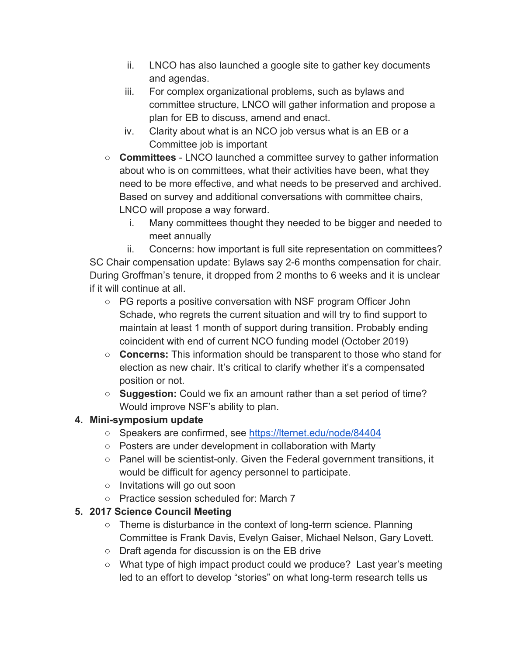- ii. LNCO has also launched a google site to gather key documents and agendas.
- iii. For complex organizational problems, such as bylaws and committee structure, LNCO will gather information and propose a plan for EB to discuss, amend and enact.
- iv. Clarity about what is an NCO job versus what is an EB or a Committee job is important
- **Committees** LNCO launched a committee survey to gather information about who is on committees, what their activities have been, what they need to be more effective, and what needs to be preserved and archived. Based on survey and additional conversations with committee chairs, LNCO will propose a way forward.
	- i. Many committees thought they needed to be bigger and needed to meet annually

ii. Concerns: how important is full site representation on committees? SC Chair compensation update: Bylaws say 2-6 months compensation for chair. During Groffman's tenure, it dropped from 2 months to 6 weeks and it is unclear if it will continue at all.

- PG reports a positive conversation with NSF program Officer John Schade, who regrets the current situation and will try to find support to maintain at least 1 month of support during transition. Probably ending coincident with end of current NCO funding model (October 2019)
- **Concerns:** This information should be transparent to those who stand for election as new chair. It's critical to clarify whether it's a compensated position or not.
- **Suggestion:** Could we fix an amount rather than a set period of time? Would improve NSF's ability to plan.

# **4. Mini-symposium update**

- Speakers are confirmed, see<https://lternet.edu/node/84404>
- Posters are under development in collaboration with Marty
- Panel will be scientist-only. Given the Federal government transitions, it would be difficult for agency personnel to participate.
- Invitations will go out soon
- Practice session scheduled for: March 7

# **5. 2017 Science Council Meeting**

- Theme is disturbance in the context of long-term science. Planning Committee is Frank Davis, Evelyn Gaiser, Michael Nelson, Gary Lovett.
- Draft agenda for discussion is on the EB drive
- What type of high impact product could we produce? Last year's meeting led to an effort to develop "stories" on what long-term research tells us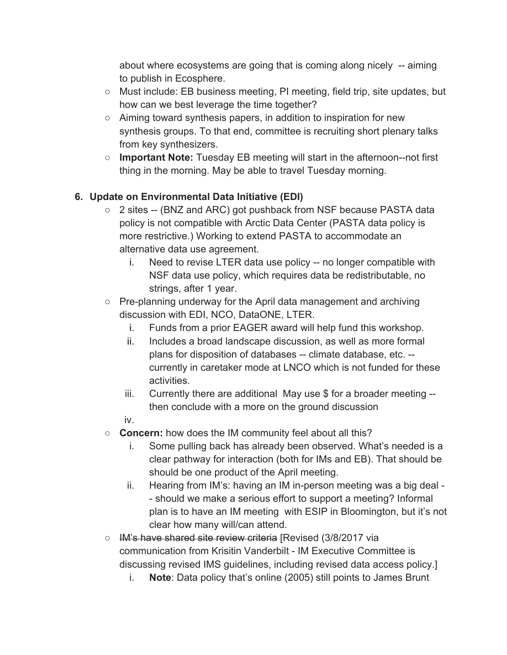about where ecosystems are going that is coming along nicely -- aiming to publish in Ecosphere.

- Must include: EB business meeting, PI meeting, field trip, site updates, but how can we best leverage the time together?
- Aiming toward synthesis papers, in addition to inspiration for new synthesis groups. To that end, committee is recruiting short plenary talks from key synthesizers.
- **Important Note:** Tuesday EB meeting will start in the afternoon--not first thing in the morning. May be able to travel Tuesday morning.

## **6. Update on Environmental Data Initiative (EDI)**

- 2 sites -- (BNZ and ARC) got pushback from NSF because PASTA data policy is not compatible with Arctic Data Center (PASTA data policy is more restrictive.) Working to extend PASTA to accommodate an alternative data use agreement.
	- i. Need to revise LTER data use policy -- no longer compatible with NSF data use policy, which requires data be redistributable, no strings, after 1 year.
- Pre-planning underway for the April data management and archiving discussion with EDI, NCO, DataONE, LTER.
	- i. Funds from a prior EAGER award will help fund this workshop.
	- ii. Includes a broad landscape discussion, as well as more formal plans for disposition of databases -- climate database, etc. - currently in caretaker mode at LNCO which is not funded for these activities.
	- iii. Currently there are additional May use \$ for a broader meeting then conclude with a more on the ground discussion

iv.

- **Concern:** how does the IM community feel about all this?
	- i. Some pulling back has already been observed. What's needed is a clear pathway for interaction (both for IMs and EB). That should be should be one product of the April meeting.
	- ii. Hearing from IM's: having an IM in-person meeting was a big deal - should we make a serious effort to support a meeting? Informal plan is to have an IM meeting with ESIP in Bloomington, but it's not clear how many will/can attend.
- IM's have shared site review criteria [Revised (3/8/2017 via communication from Krisitin Vanderbilt - IM Executive Committee is discussing revised IMS guidelines, including revised data access policy.]
	- i. **Note**: Data policy that's online (2005) still points to James Brunt